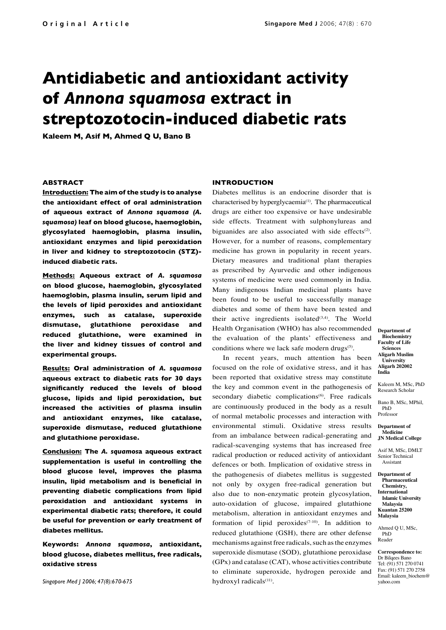# **Antidiabetic and antioxidant activity of** *Annona squamosa* **extract in streptozotocin-induced diabetic rats**

**Kaleem M, Asif M, Ahmed Q U, Bano B**

## **ABSTRACT**

**Introduction: The aim of the study is to analyse the antioxidant effect of oral administration of aqueous extract of** *Annona squamosa (A. squamosa)* **leaf on blood glucose, haemoglobin, glycosylated haemoglobin, plasma insulin, antioxidant enzymes and lipid peroxidation in liver and kidney to streptozotocin (STZ) induced diabetic rats.**

**Methods: Aqueous extract of** *A. squamosa* **on blood glucose, haemoglobin, glycosylated haemoglobin, plasma insulin, serum lipid and the levels of lipid peroxides and antioxidant enzymes, such as catalase, superoxide dismutase, glutathione peroxidase and reduced glutathione, were examined in the liver and kidney tissues of control and experimental groups.**

**Results: Oral administration of** *A. squamosa* **aqueous extract to diabetic rats for 30 days significantly reduced the levels of blood glucose, lipids and lipid peroxidation, but increased the activities of plasma insulin and antioxidant enzymes, like catalase, superoxide dismutase, reduced glutathione and glutathione peroxidase.** 

**Conclusion: The** *A. squamos***a aqueous extract supplementation is useful in controlling the blood glucose level, improves the plasma insulin, lipid metabolism and is beneficial in preventing diabetic complications from lipid peroxidation and antioxidant systems in experimental diabetic rats; therefore, it could be useful for prevention or early treatment of diabetes mellitus.**

**Keywords:** *Annona squamosa***, antioxidant, blood glucose, diabetes mellitus, free radicals, oxidative stress** 

*Singapore Med J 2006; 47(8):670-675*

## **INTRODUCTION**

Diabetes mellitus is an endocrine disorder that is characterised by hyperglycaemia<sup>(1)</sup>. The pharmaceutical drugs are either too expensive or have undesirable side effects. Treatment with sulphonylureas and biguanides are also associated with side effects $(2)$ . However, for a number of reasons, complementary medicine has grown in popularity in recent years. Dietary measures and traditional plant therapies as prescribed by Ayurvedic and other indigenous systems of medicine were used commonly in India. Many indigenous Indian medicinal plants have been found to be useful to successfully manage diabetes and some of them have been tested and their active ingredients isolated $(3,4)$ . The World Health Organisation (WHO) has also recommended the evaluation of the plants' effectiveness and conditions where we lack safe modern drugs<sup>(5)</sup>.

In recent years, much attention has been focused on the role of oxidative stress, and it has been reported that oxidative stress may constitute the key and common event in the pathogenesis of secondary diabetic complications<sup>(6)</sup>. Free radicals are continuously produced in the body as a result of normal metabolic processes and interaction with environmental stimuli. Oxidative stress results from an imbalance between radical-generating and radical-scavenging systems that has increased free radical production or reduced activity of antioxidant defences or both. Implication of oxidative stress in the pathogenesis of diabetes mellitus is suggested not only by oxygen free-radical generation but also due to non-enzymatic protein glycosylation, auto-oxidation of glucose, impaired glutathione metabolism, alteration in antioxidant enzymes and formation of lipid peroxides<sup> $(7-10)$ </sup>. In addition to reduced glutathione (GSH), there are other defense mechanisms against free radicals, such as the enzymes superoxide dismutase (SOD), glutathione peroxidase (GPx) and catalase (CAT), whose activities contribute to eliminate superoxide, hydrogen peroxide and hydroxyl radicals<sup>(11)</sup>.

**Department of Biochemistry Faculty of Life Sciences Aligarh Muslim University Aligarh 202002 India**

Kaleem M, MSc, PhD Research Scholar

Bano B, MSc, MPhil, PhD Professor

**Department of Medicine JN Medical College**

Asif M, MSc, DMLT Senior Technical Assistant

**Department of Pharmaceutical Chemistry, International Islamic University Malaysia Kuantan 25200 Malaysia**

Ahmed Q U, MSc, PhD Reader

**Correspondence to:** Dr Bilqees Bano Tel: (91) 571 270 0741 Fax: (91) 571 270 2758 Email: kaleem\_biochem@ yahoo.com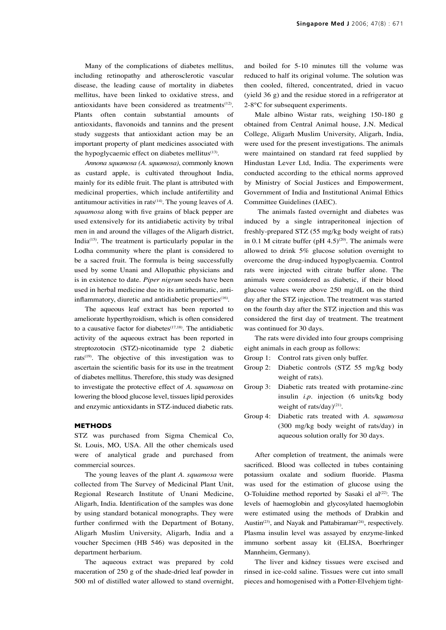Many of the complications of diabetes mellitus, including retinopathy and atherosclerotic vascular disease, the leading cause of mortality in diabetes mellitus, have been linked to oxidative stress, and antioxidants have been considered as treatments $(12)$ . Plants often contain substantial amounts of antioxidants, flavonoids and tannins and the present study suggests that antioxidant action may be an important property of plant medicines associated with the hypoglycaemic effect on diabetes mellitus $(13)$ .

*Annona squamosa (A. squamosa)*, commonly known as custard apple, is cultivated throughout India, mainly for its edible fruit. The plant is attributed with medicinal properties, which include antifertility and antitumour activities in rats<sup>(14)</sup>. The young leaves of *A*. *squamosa* along with five grains of black pepper are used extensively for its antidiabetic activity by tribal men in and around the villages of the Aligarh district, India(15). The treatment is particularly popular in the Lodha community where the plant is considered to be a sacred fruit. The formula is being successfully used by some Unani and Allopathic physicians and is in existence to date. *Piper nigrum* seeds have been used in herbal medicine due to its antirheumatic, antiinflammatory, diuretic and antidiabetic properties<sup>(16)</sup>.

The aqueous leaf extract has been reported to ameliorate hyperthyroidism, which is often considered to a causative factor for diabetes<sup> $(17,18)$ </sup>. The antidiabetic activity of the aqueous extract has been reported in streptozotocin (STZ)-nicotinamide type 2 diabetic rats<sup> $(19)$ </sup>. The objective of this investigation was to ascertain the scientific basis for its use in the treatment of diabetes mellitus. Therefore, this study was designed to investigate the protective effect of *A. squamosa* on lowering the blood glucose level, tissues lipid peroxides and enzymic antioxidants in STZ-induced diabetic rats.

#### **METHODS**

STZ was purchased from Sigma Chemical Co, St. Louis, MO, USA. All the other chemicals used were of analytical grade and purchased from commercial sources.

The young leaves of the plant *A. squamosa* were collected from The Survey of Medicinal Plant Unit, Regional Research Institute of Unani Medicine, Aligarh, India. Identification of the samples was done by using standard botanical monographs. They were further confirmed with the Department of Botany, Aligarh Muslim University, Aligarh, India and a voucher Specimen (HB 546) was deposited in the department herbarium.

The aqueous extract was prepared by cold maceration of 250 g of the shade-dried leaf powder in 500 ml of distilled water allowed to stand overnight,

and boiled for 5-10 minutes till the volume was reduced to half its original volume. The solution was then cooled, filtered, concentrated, dried in vacuo (yield 36 g) and the residue stored in a refrigerator at 2-8°C for subsequent experiments.

Male albino Wistar rats, weighing 150-180 g obtained from Central Animal house, J.N. Medical College, Aligarh Muslim University, Aligarh, India, were used for the present investigations. The animals were maintained on standard rat feed supplied by Hindustan Lever Ltd, India. The experiments were conducted according to the ethical norms approved by Ministry of Social Justices and Empowerment, Government of India and Institutional Animal Ethics Committee Guidelines (IAEC).

 The animals fasted overnight and diabetes was induced by a single intraperitoneal injection of freshly-prepared STZ (55 mg/kg body weight of rats) in 0.1 M citrate buffer (pH  $4.5$ )<sup>(20)</sup>. The animals were allowed to drink 5% glucose solution overnight to overcome the drug-induced hypoglycaemia. Control rats were injected with citrate buffer alone. The animals were considered as diabetic, if their blood glucose values were above 250 mg/dL on the third day after the STZ injection. The treatment was started on the fourth day after the STZ injection and this was considered the first day of treatment. The treatment was continued for 30 days.

The rats were divided into four groups comprising eight animals in each group as follows:

- Group 1: Control rats given only buffer.
- Group 2: Diabetic controls (STZ 55 mg/kg body weight of rats).
- Group 3: Diabetic rats treated with protamine-zinc insulin *i.p*. injection (6 units/kg body weight of rats/day $)^{(21)}$ .
- Group 4: Diabetic rats treated with A. squamosa (300 mg/kg body weight of rats/day) in aqueous solution orally for 30 days.

After completion of treatment, the animals were sacrificed. Blood was collected in tubes containing potassium oxalate and sodium fluoride. Plasma was used for the estimation of glucose using the O-Toluidine method reported by Sasaki el al<sup>(22)</sup>. The levels of haemoglobin and glycosylated haemoglobin were estimated using the methods of Drabkin and Austin<sup>(23)</sup>, and Nayak and Pattabiraman<sup>(24)</sup>, respectively. Plasma insulin level was assayed by enzyme-linked immuno sorbent assay kit (ELISA, Boerhringer Mannheim, Germany).

The liver and kidney tissues were excised and rinsed in ice-cold saline. Tissues were cut into small pieces and homogenised with a Potter-Elvehjem tight-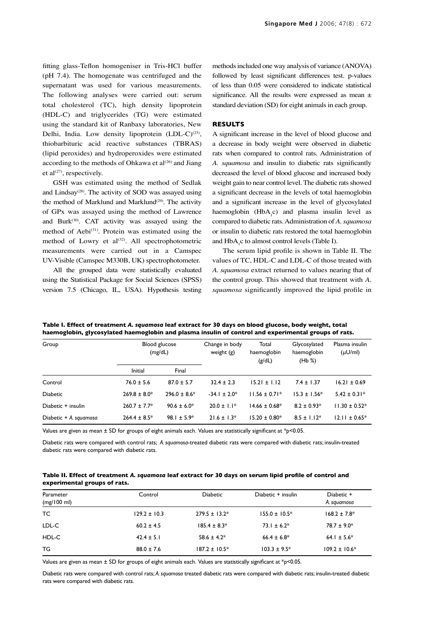fitting glass-Teflon homogeniser in Tris-HCl buffer (pH 7.4). The homogenate was centrifuged and the supernatant was used for various measurements. The following analyses were carried out: serum total cholesterol (TC), high density lipoprotein (HDL-C) and triglycerides (TG) were estimated using the standard kit of Ranbaxy laboratories, New Delhi, India. Low density lipoprotein (LDL-C)<sup>(25)</sup>, thiobarbituric acid reactive substances (TBRAS) (lipid peroxides) and hydroperoxides were estimated according to the methods of Ohkawa et  $al^{(26)}$  and Jiang et al $^{(27)}$ , respectively.

GSH was estimated using the method of Sedlak and Lindsay<sup> $(28)$ </sup>. The activity of SOD was assayed using the method of Marklund and Marklund<sup>(29)</sup>. The activity of GPx was assayed using the method of Lawrence and Burk<sup>(30)</sup>. CAT activity was assayed using the method of Aebi<sup>(31)</sup>. Protein was estimated using the method of Lowry et al<sup>(32)</sup>. All spectrophotometric measurements were carried out in a Camspec UV-Visible (Camspec M330B, UK) spectrophotometer.

All the grouped data were statistically evaluated using the Statistical Package for Social Sciences (SPSS) version 7.5 (Chicago, IL, USA). Hypothesis testing methods included one way analysis of variance (ANOVA) followed by least significant differences test. p-values of less than 0.05 were considered to indicate statistical significance. All the results were expressed as mean  $\pm$ standard deviation (SD) for eight animals in each group.

## **RESULTS**

A significant increase in the level of blood glucose and a decrease in body weight were observed in diabetic rats when compared to control rats. Administration of *A. squamosa* and insulin to diabetic rats significantly decreased the level of blood glucose and increased body weight gain to near control level. The diabetic rats showed a significant decrease in the levels of total haemoglobin and a significant increase in the level of glycosylated haemoglobin  $(HbA_1c)$  and plasma insulin level as compared to diabetic rats. Administration of *A. squamosa* or insulin to diabetic rats restored the total haemoglobin and  $HbA_1c$  to almost control levels (Table I).

The serum lipid profile is shown in Table II. The values of TC, HDL-C and LDL-C of those treated with *A. squamosa* extract returned to values nearing that of the control group. This showed that treatment with *A. squamosa* significantly improved the lipid profile in

| Group                  |                   | Blood glucose     | Change in body<br>Total |                       | Glycosylated          | Plasma insulin     |  |
|------------------------|-------------------|-------------------|-------------------------|-----------------------|-----------------------|--------------------|--|
|                        |                   | (mg/dL)           | weight $(g)$            | haemoglobin<br>(g/dL) | haemoglobin<br>(Hb %) | $(\mu U/m)$        |  |
|                        | Initial           | Final             |                         |                       |                       |                    |  |
| Control                | $76.0 \pm 5.6$    | $87.0 \pm 5.7$    | $32.4 \pm 2.3$          | $15.21 \pm 1.12$      | $7.4 \pm 1.37$        | $16.21 \pm 0.69$   |  |
| <b>Diabetic</b>        | $269.8 \pm 8.0*$  | $296.0 \pm 8.6^*$ | $-34.1 \pm 2.0^*$       | $11.56 \pm 0.71*$     | $15.3 \pm 1.56*$      | $5.42 \pm 0.31*$   |  |
| Diabetic + insulin     | $260.7 \pm 7.7^*$ | $90.6 \pm 6.0^*$  | $20.0 \pm 1.1*$         | $14.66 \pm 0.68^*$    | $8.2 \pm 0.93*$       | $11.30 \pm 0.52^*$ |  |
| Diabetic + A. squamosa | $264.4 \pm 8.5^*$ | 98.1 ± 5.9*       | $21.6 \pm 1.3*$         | $15.20 \pm 0.80*$     | $8.5 \pm 1.12^*$      | $12.11 \pm 0.65*$  |  |

**Table I. Effect of treatment** *A. squamosa* **leaf extract for 30 days on blood glucose, body weight, total haemoglobin, glycosylated haemoglobin and plasma insulin of control and experimental groups of rats.**

Values are given as mean ± SD for groups of eight animals each. Values are statistically significant at \*p<0.05.

Diabetic rats were compared with control rats; *A. squamosa*-treated diabetic rats were compared with diabetic rats; insulin-treated diabetic rats were compared with diabetic rats.

| Table II. Effect of treatment A. squamosa leaf extract for 30 days on serum lipid profile of control and |  |
|----------------------------------------------------------------------------------------------------------|--|
| experimental groups of rats.                                                                             |  |

| Parameter<br>$(mg/100 \text{ ml})$ | Control          | <b>Diabetic</b>    | Diabetic + insulin | Diabetic +<br>A. squamosa |
|------------------------------------|------------------|--------------------|--------------------|---------------------------|
| ТC                                 | $129.2 \pm 10.3$ | $279.5 \pm 13.2^*$ | $155.0 \pm 10.5^*$ | $168.2 \pm 7.8^*$         |
| LDL-C                              | $60.2 \pm 4.5$   | $185.4 \pm 8.3*$   | $73.1 \pm 6.2^*$   | $78.7 \pm 9.0^*$          |
| HDL-C                              | $42.4 \pm 5.1$   | $58.6 \pm 4.2^*$   | $66.4 \pm 6.8^*$   | 64.1 ± 5.6*               |
| ТG                                 | $88.0 \pm 7.6$   | $187.2 \pm 10.5^*$ | $103.3 \pm 9.5^*$  | $109.2 \pm 10.6^*$        |

Values are given as mean  $\pm$  SD for groups of eight animals each. Values are statistically significant at  $*_{p}$ <0.05.

Diabetic rats were compared with control rats; *A. squamosa* treated diabetic rats were compared with diabetic rats; insulin-treated diabetic rats were compared with diabetic rats.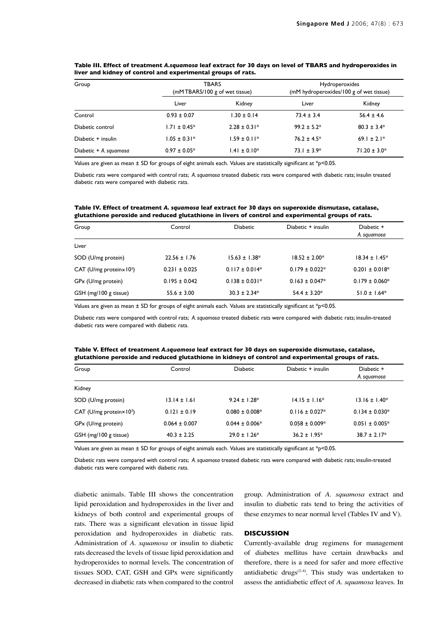| Group                  |                   | <b>TBARS</b><br>(mMTBARS/100 g of wet tissue) |                  | Hydroperoxides<br>(mM hydroperoxides/100 g of wet tissue) |  |
|------------------------|-------------------|-----------------------------------------------|------------------|-----------------------------------------------------------|--|
|                        | Liver             | Kidney                                        | Liver            | Kidney                                                    |  |
| Control                | $0.93 \pm 0.07$   | $1.30 \pm 0.14$                               | $73.4 \pm 3.4$   | $56.4 \pm 4.6$                                            |  |
| Diabetic control       | $1.71 \pm 0.45^*$ | $2.28 \pm 0.31*$                              | $99.2 \pm 5.2^*$ | $80.3 \pm 3.4*$                                           |  |
| Diabetic + insulin     | $1.05 \pm 0.31*$  | $1.59 \pm 0.11*$                              | $76.2 \pm 4.5^*$ | 69.1 ± 2.1*                                               |  |
| Diabetic + A. squamosa | $0.97 \pm 0.05*$  | $1.41 \pm 0.10*$                              | $73.1 \pm 3.9*$  | $71.20 \pm 3.0*$                                          |  |

### **Table III. Effect of treatment** *A.squamosa* **leaf extract for 30 days on level of TBARS and hydroperoxides in liver and kidney of control and experimental groups of rats.**

Values are given as mean  $\pm$  SD for groups of eight animals each. Values are statistically significant at \*p<0.05.

Diabetic rats were compared with control rats; *A. squamosa* treated diabetic rats were compared with diabetic rats; insulin treated diabetic rats were compared with diabetic rats.

## **Table IV. Effect of treatment** *A. squamosa* **leaf extract for 30 days on superoxide dismutase, catalase, glutathione peroxide and reduced glutathione in livers of control and experimental groups of rats.**

| Group                                        | Control           | <b>Diabetic</b>    | Diabetic + insulin  | Diabetic +          |
|----------------------------------------------|-------------------|--------------------|---------------------|---------------------|
|                                              |                   |                    |                     | A. squamosa         |
| Liver                                        |                   |                    |                     |                     |
| SOD (U/mg protein)                           | $22.56 \pm 1.76$  | $15.63 \pm 1.38^*$ | $18.52 \pm 2.00*$   | $18.34 \pm 1.45^*$  |
| CAT (U/mg protein $\times$ 10 <sup>3</sup> ) | $0.231 \pm 0.025$ | $0.117 \pm 0.014*$ | $0.179 \pm 0.022^*$ | $0.201 \pm 0.018^*$ |
| GP <sub>x</sub> (U/mg protein)               | $0.195 \pm 0.042$ | $0.138 \pm 0.031*$ | $0.163 \pm 0.047*$  | $0.179 \pm 0.060*$  |
| GSH (mg/100 g tissue)                        | $55.6 \pm 3.00$   | $30.3 \pm 2.34*$   | $54.4 \pm 3.20*$    | $51.0 \pm 1.64*$    |

Values are given as mean  $\pm$  SD for groups of eight animals each. Values are statistically significant at  $*$ p<0.05.

Diabetic rats were compared with control rats; *A. squamosa* treated diabetic rats were compared with diabetic rats; insulin-treated diabetic rats were compared with diabetic rats.

| Table V. Effect of treatment A.squamosa leaf extract for 30 days on superoxide dismutase, catalase, |
|-----------------------------------------------------------------------------------------------------|
| glutathione peroxide and reduced glutathione in kidneys of control and experimental groups of rats. |

| Group                                        | Control           | <b>Diabetic</b>     | Diabetic + insulin  | Diabetic +<br>A. squamosa |
|----------------------------------------------|-------------------|---------------------|---------------------|---------------------------|
| Kidney                                       |                   |                     |                     |                           |
| SOD (U/mg protein)                           | $13.14 \pm 1.61$  | $9.24 \pm 1.28^*$   | $14.15 \pm 1.16*$   | $13.16 \pm 1.40^*$        |
| CAT (U/mg protein $\times$ 10 <sup>3</sup> ) | $0.121 \pm 0.19$  | $0.080 \pm 0.008^*$ | $0.116 \pm 0.027$ * | $0.134 \pm 0.030*$        |
| GPx (U/mg protein)                           | $0.064 \pm 0.007$ | $0.044 \pm 0.006*$  | $0.058 \pm 0.009*$  | $0.051 \pm 0.005*$        |
| GSH (mg/100 g tissue)                        | $40.3 \pm 2.25$   | $29.0 \pm 1.26*$    | $36.2 \pm 1.95^*$   | $38.7 \pm 2.17^*$         |

Values are given as mean  $\pm$  SD for groups of eight animals each. Values are statistically significant at  $*_P$ <0.05.

Diabetic rats were compared with control rats; *A. squamosa* treated diabetic rats were compared with diabetic rats; insulin-treated diabetic rats were compared with diabetic rats.

diabetic animals. Table III shows the concentration lipid peroxidation and hydroperoxides in the liver and kidneys of both control and experimental groups of rats. There was a significant elevation in tissue lipid peroxidation and hydroperoxides in diabetic rats. Administration of *A. squamosa* or insulin to diabetic rats decreased the levels of tissue lipid peroxidation and hydroperoxides to normal levels. The concentration of tissues SOD, CAT, GSH and GPx were significantly decreased in diabetic rats when compared to the control group. Administration of *A. squamosa* extract and insulin to diabetic rats tend to bring the activities of these enzymes to near normal level (Tables IV and V).

#### **DISCUSSION**

Currently-available drug regimens for management of diabetes mellitus have certain drawbacks and therefore, there is a need for safer and more effective antidiabetic drugs $(2-4)$ . This study was undertaken to assess the antidiabetic effect of *A. squamosa* leaves. In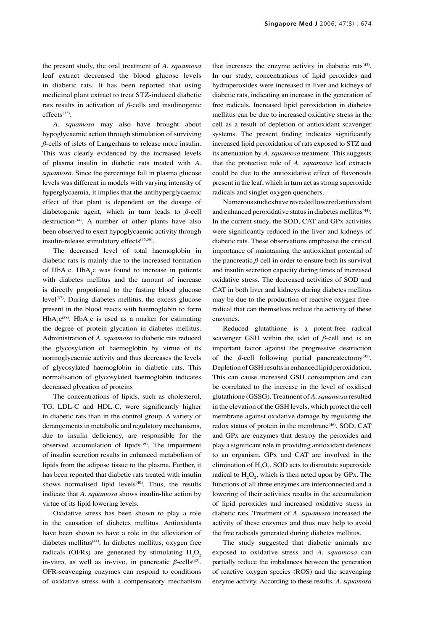the present study, the oral treatment of *A. squamosa* leaf extract decreased the blood glucose levels in diabetic rats. It has been reported that using medicinal plant extract to treat STZ-induced diabetic rats results in activation of *ß*-cells and insulinogenic effects<sup>(33)</sup>.

*A. squamosa* may also have brought about hypoglycaemic action through stimulation of surviving *ß*-cells of islets of Langerhans to release more insulin. This was clearly evidenced by the increased levels of plasma insulin in diabetic rats treated with *A. squamosa*. Since the percentage fall in plasma glucose levels was different in models with varying intensity of hyperglycaemia, it implies that the antihyperglycaemic effect of that plant is dependent on the dosage of diabetogenic agent, which in turn leads to *ß*-cell destruction<sup>(34)</sup>. A number of other plants have also been observed to exert hypoglycaemic activity through insulin-release stimulatory effects<sup>(35,36)</sup>.

The decreased level of total haemoglobin in diabetic rats is mainly due to the increased formation of  $HbA_1c$ .  $HbA_1c$  was found to increase in patients with diabetes mellitus and the amount of increase is directly propotional to the fasting blood glucose level<sup> $(37)$ </sup>. During diabetes mellitus, the excess glucose present in the blood reacts with haemoglobin to form  $HbA_1c^{(38)}$ .  $HbA_1c$  is used as a marker for estimating the degree of protein glycation in diabetes mellitus. Administration of *A. squamosa* to diabetic rats reduced the glycosylation of haemoglobin by virtue of its normoglycaemic activity and thus decreases the levels of glycosylated haemoglobin in diabetic rats. This normalisation of glycosylated haemoglobin indicates decreased glycation of proteins

The concentrations of lipids, such as cholesterol, TG, LDL-C and HDL-C, were significantly higher in diabetic rats than in the control group. A variety of derangements in metabolic and regulatory mechanisms, due to insulin deficiency, are responsible for the observed accumulation of lipids<sup>(39)</sup>. The impairment of insulin secretion results in enhanced metabolism of lipids from the adipose tissue to the plasma. Further, it has been reported that diabetic rats treated with insulin shows normalised lipid levels $(40)$ . Thus, the results indicate that *A. squamosa* shows insulin-like action by virtue of its lipid lowering levels.

Oxidative stress has been shown to play a role in the causation of diabetes mellitus. Antioxidants have been shown to have a role in the alleviation of diabetes mellitus(41). In diabetes mellitus, oxygen free radicals (OFRs) are generated by stimulating  $H_2O_2$ in-vitro, as well as in-vivo, in pancreatic  $\beta$ -cells<sup>(42)</sup>. OFR-scavenging enzymes can respond to conditions of oxidative stress with a compensatory mechanism

that increases the enzyme activity in diabetic rats<sup>(43)</sup>. In our study, concentrations of lipid peroxides and hydroperoxides were increased in liver and kidneys of diabetic rats, indicating an increase in the generation of free radicals. Increased lipid peroxidation in diabetes mellitus can be due to increased oxidative stress in the cell as a result of depletion of antioxidant scavenger systems. The present finding indicates significantly increased lipid peroxidation of rats exposed to STZ and its attenuation by *A. squamosa* treatment. This suggests that the protective role of *A. squamosa* leaf extracts could be due to the antioxidative effect of flavonoids present in the leaf, which in turn act as strong superoxide radicals and singlet oxygen quenchers.

Numerous studies have revealed lowered antioxidant and enhanced peroxidative status in diabetes mellitus<sup>(44)</sup>. In the current study, the SOD, CAT and GPx activities were significantly reduced in the liver and kidneys of diabetic rats. These observations emphasise the critical importance of maintaining the antioxidant potential of the pancreatic *ß*-cell in order to ensure both its survival and insulin secretion capacity during times of increased oxidative stress. The decreased activities of SOD and CAT in both liver and kidneys during diabetes mellitus may be due to the production of reactive oxygen freeradical that can themselves reduce the activity of these enzymes.

Reduced glutathione is a potent-free radical scavenger GSH within the islet of  $\beta$ -cell and is an important factor against the progressive destruction of the  $\beta$ -cell following partial pancreatectomy<sup>(45)</sup>. Depletion of GSH results in enhanced lipid peroxidation. This can cause increased GSH consumption and can be correlated to the increase in the level of oxidised glutathione (GSSG). Treatment of *A. squamosa* resulted in the elevation of the GSH levels, which protect the cell membrane against oxidative damage by regulating the redox status of protein in the membrane<sup>(46)</sup>. SOD, CAT and GPx are enzymes that destroy the peroxides and play a significant role in providing antioxidant defences to an organism. GPx and CAT are involved in the elimination of  $H_2O_2$ . SOD acts to dismutate superoxide radical to  $H_2O_2$ , which is then acted upon by GPx. The functions of all three enzymes are interconnected and a lowering of their activities results in the accumulation of lipid peroxides and increased oxidative stress in diabetic rats. Treatment of *A. squamosa* increased the activity of these enzymes and thus may help to avoid the free radicals generated during diabetes mellitus.

The study suggested that diabetic animals are exposed to oxidative stress and *A. squamosa* can partially reduce the imbalances between the generation of reactive oxygen species (ROS) and the scavenging enzyme activity. According to these results, *A. squamosa*